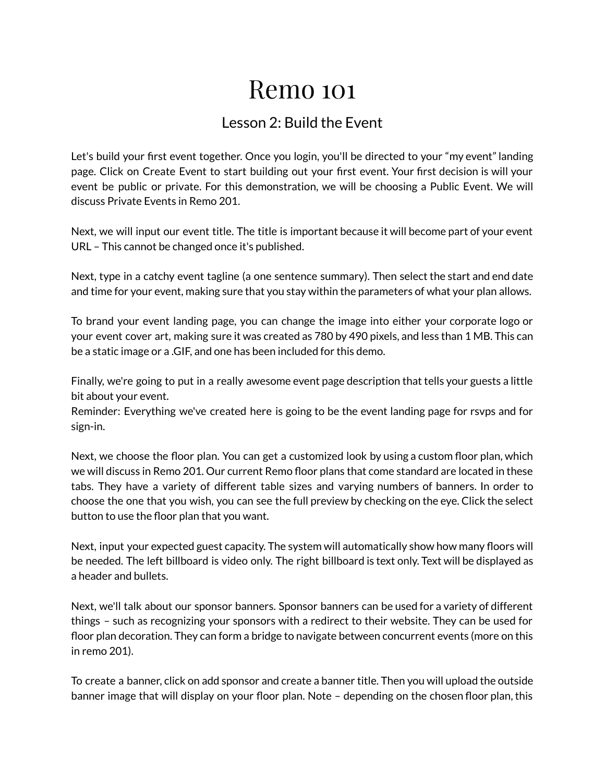## Remo 101

## Lesson 2: Build the Event

Let's build your first event together. Once you login, you'll be directed to your "my event" landing page. Click on Create Event to start building out your first event. Your first decision is will your event be public or private. For this demonstration, we will be choosing a Public Event. We will discuss Private Events in Remo 201.

Next, we will input our event title. The title is important because it will become part of your event URL – This cannot be changed once it's published.

Next, type in a catchy event tagline (a one sentence summary). Then select the start and end date and time for your event, making sure that you stay within the parameters of what your plan allows.

To brand your event landing page, you can change the image into either your corporate logo or your event cover art, making sure it was created as 780 by 490 pixels, and less than 1 MB. This can be a static image or a .GIF, and one has been included for this demo.

Finally, we're going to put in a really awesome event page description that tells your guests a little bit about your event.

Reminder: Everything we've created here is going to be the event landing page for rsvps and for sign-in.

Next, we choose the floor plan. You can get a customized look by using a custom floor plan, which we will discuss in Remo 201. Our current Remo floor plans that come standard are located in these tabs. They have a variety of different table sizes and varying numbers of banners. In order to choose the one that you wish, you can see the full preview by checking on the eye. Click the select button to use the floor plan that you want.

Next, input your expected guest capacity. The system will automatically show how many floors will be needed. The left billboard is video only. The right billboard is text only. Text will be displayed as a header and bullets.

Next, we'll talk about our sponsor banners. Sponsor banners can be used for a variety of different things – such as recognizing your sponsors with a redirect to their website. They can be used for floor plan decoration. They can form a bridge to navigate between concurrent events (more on this in remo 201).

To create a banner, click on add sponsor and create a banner title. Then you will upload the outside banner image that will display on your floor plan. Note – depending on the chosen floor plan, this